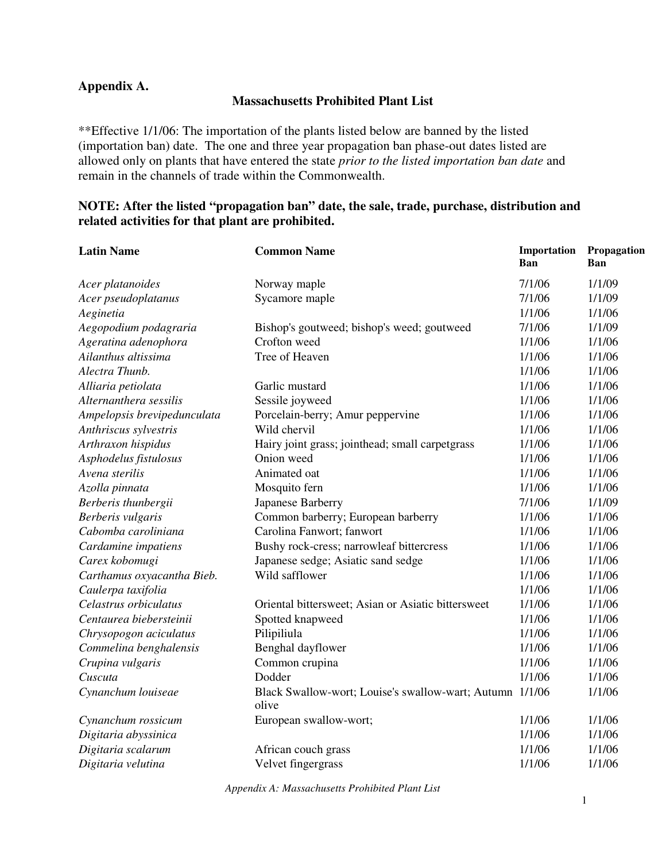## **Appendix A.**

## **Massachusetts Prohibited Plant List**

\*\*Effective 1/1/06: The importation of the plants listed below are banned by the listed (importation ban) date. The one and three year propagation ban phase-out dates listed are allowed only on plants that have entered the state *prior to the listed importation ban date* and remain in the channels of trade within the Commonwealth.

## **NOTE: After the listed "propagation ban" date, the sale, trade, purchase, distribution and related activities for that plant are prohibited.**

| <b>Latin Name</b>           | <b>Common Name</b>                                                | Importation<br><b>Ban</b> | Propagation<br><b>Ban</b> |
|-----------------------------|-------------------------------------------------------------------|---------------------------|---------------------------|
| Acer platanoides            | Norway maple                                                      | 7/1/06                    | 1/1/09                    |
| Acer pseudoplatanus         | Sycamore maple                                                    | 7/1/06                    | 1/1/09                    |
| Aeginetia                   |                                                                   | 1/1/06                    | 1/1/06                    |
| Aegopodium podagraria       | Bishop's goutweed; bishop's weed; goutweed                        | 7/1/06                    | 1/1/09                    |
| Ageratina adenophora        | Crofton weed                                                      | 1/1/06                    | 1/1/06                    |
| Ailanthus altissima         | Tree of Heaven                                                    | 1/1/06                    | 1/1/06                    |
| Alectra Thunb.              |                                                                   | 1/1/06                    | 1/1/06                    |
| Alliaria petiolata          | Garlic mustard                                                    | 1/1/06                    | 1/1/06                    |
| Alternanthera sessilis      | Sessile joyweed                                                   | 1/1/06                    | 1/1/06                    |
| Ampelopsis brevipedunculata | Porcelain-berry; Amur peppervine                                  | 1/1/06                    | 1/1/06                    |
| Anthriscus sylvestris       | Wild chervil                                                      | 1/1/06                    | 1/1/06                    |
| Arthraxon hispidus          | Hairy joint grass; jointhead; small carpetgrass                   | 1/1/06                    | 1/1/06                    |
| Asphodelus fistulosus       | Onion weed                                                        | 1/1/06                    | 1/1/06                    |
| Avena sterilis              | Animated oat                                                      | 1/1/06                    | 1/1/06                    |
| Azolla pinnata              | Mosquito fern                                                     | 1/1/06                    | 1/1/06                    |
| Berberis thunbergii         | Japanese Barberry                                                 | 7/1/06                    | 1/1/09                    |
| Berberis vulgaris           | Common barberry; European barberry                                | 1/1/06                    | 1/1/06                    |
| Cabomba caroliniana         | Carolina Fanwort; fanwort                                         | 1/1/06                    | 1/1/06                    |
| Cardamine impatiens         | Bushy rock-cress; narrowleaf bittercress                          | 1/1/06                    | 1/1/06                    |
| Carex kobomugi              | Japanese sedge; Asiatic sand sedge                                | 1/1/06                    | 1/1/06                    |
| Carthamus oxyacantha Bieb.  | Wild safflower                                                    | 1/1/06                    | 1/1/06                    |
| Caulerpa taxifolia          |                                                                   | 1/1/06                    | 1/1/06                    |
| Celastrus orbiculatus       | Oriental bittersweet; Asian or Asiatic bittersweet                | 1/1/06                    | 1/1/06                    |
| Centaurea biebersteinii     | Spotted knapweed                                                  | 1/1/06                    | 1/1/06                    |
| Chrysopogon aciculatus      | Pilipiliula                                                       | 1/1/06                    | 1/1/06                    |
| Commelina benghalensis      | Benghal dayflower                                                 | 1/1/06                    | 1/1/06                    |
| Crupina vulgaris            | Common crupina                                                    | 1/1/06                    | 1/1/06                    |
| Cuscuta                     | Dodder                                                            | 1/1/06                    | 1/1/06                    |
| Cynanchum louiseae          | Black Swallow-wort; Louise's swallow-wart; Autumn 1/1/06<br>olive |                           | 1/1/06                    |
| Cynanchum rossicum          | European swallow-wort;                                            | 1/1/06                    | 1/1/06                    |
| Digitaria abyssinica        |                                                                   | 1/1/06                    | 1/1/06                    |
| Digitaria scalarum          | African couch grass                                               | 1/1/06                    | 1/1/06                    |
| Digitaria velutina          | Velvet fingergrass                                                | 1/1/06                    | 1/1/06                    |

*Appendix A: Massachusetts Prohibited Plant List*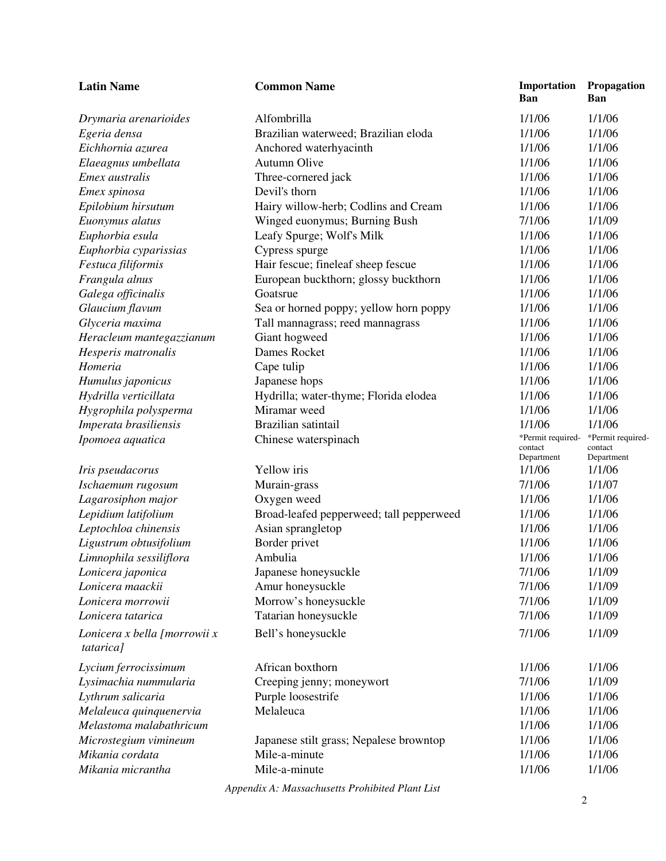| <b>Latin Name</b>                                | <b>Common Name</b>                                  | Importation<br><b>Ban</b>                  | Propagation<br>Ban                         |
|--------------------------------------------------|-----------------------------------------------------|--------------------------------------------|--------------------------------------------|
| Drymaria arenarioides                            | Alfombrilla                                         | 1/1/06                                     | 1/1/06                                     |
| Egeria densa                                     | Brazilian waterweed; Brazilian eloda                | 1/1/06                                     | 1/1/06                                     |
| Eichhornia azurea                                | Anchored waterhyacinth                              | 1/1/06                                     | 1/1/06                                     |
| Elaeagnus umbellata                              | Autumn Olive                                        | 1/1/06                                     | 1/1/06                                     |
| Emex australis                                   | Three-cornered jack                                 | 1/1/06                                     | 1/1/06                                     |
| Emex spinosa                                     | Devil's thorn                                       | 1/1/06                                     | 1/1/06                                     |
| Epilobium hirsutum                               | Hairy willow-herb; Codlins and Cream                | 1/1/06                                     | 1/1/06                                     |
| Euonymus alatus                                  | Winged euonymus; Burning Bush                       | 7/1/06                                     | 1/1/09                                     |
| Euphorbia esula                                  | Leafy Spurge; Wolf's Milk                           | 1/1/06                                     | 1/1/06                                     |
| Euphorbia cyparissias                            | Cypress spurge                                      | 1/1/06                                     | 1/1/06                                     |
| Festuca filiformis                               | Hair fescue; fineleaf sheep fescue                  | 1/1/06                                     | 1/1/06                                     |
| Frangula alnus                                   | European buckthorn; glossy buckthorn                | 1/1/06                                     | 1/1/06                                     |
| Galega officinalis                               | Goatsrue                                            | 1/1/06                                     | 1/1/06                                     |
| Glaucium flavum                                  | Sea or horned poppy; yellow horn poppy              | 1/1/06                                     | 1/1/06                                     |
| Glyceria maxima                                  | Tall mannagrass; reed mannagrass                    | 1/1/06                                     | 1/1/06                                     |
| Heracleum mantegazzianum                         | Giant hogweed                                       | 1/1/06                                     | 1/1/06                                     |
| Hesperis matronalis                              | Dames Rocket                                        | 1/1/06                                     | 1/1/06                                     |
| Homeria                                          | Cape tulip                                          | 1/1/06                                     | 1/1/06                                     |
| Humulus japonicus                                | Japanese hops                                       | 1/1/06                                     | 1/1/06                                     |
| Hydrilla verticillata                            | Hydrilla; water-thyme; Florida elodea               | 1/1/06                                     | 1/1/06                                     |
| Hygrophila polysperma                            | Miramar weed                                        | 1/1/06                                     | 1/1/06                                     |
| Imperata brasiliensis                            | Brazilian satintail                                 | 1/1/06                                     | 1/1/06                                     |
| Ipomoea aquatica                                 | Chinese waterspinach                                | *Permit required-<br>contact<br>Department | *Permit required-<br>contact<br>Department |
| Iris pseudacorus                                 | Yellow iris                                         | 1/1/06                                     | 1/1/06                                     |
| Ischaemum rugosum                                | Murain-grass                                        | 7/1/06                                     | 1/1/07                                     |
| Lagarosiphon major                               | Oxygen weed                                         | 1/1/06                                     | 1/1/06                                     |
| Lepidium latifolium                              | Broad-leafed pepperweed; tall pepperweed            | 1/1/06                                     | 1/1/06                                     |
| Leptochloa chinensis                             | Asian sprangletop                                   | 1/1/06                                     | 1/1/06                                     |
| Ligustrum obtusifolium                           | Border privet                                       | 1/1/06                                     | 1/1/06                                     |
| Limnophila sessiliflora                          | Ambulia                                             | 1/1/06                                     | 1/1/06                                     |
| Lonicera japonica                                | Japanese honeysuckle                                | 7/1/06                                     | 1/1/09                                     |
| Lonicera maackii                                 | Amur honeysuckle                                    | 7/1/06                                     | 1/1/09                                     |
| Lonicera morrowii                                | Morrow's honeysuckle                                | 7/1/06                                     | 1/1/09                                     |
| Lonicera tatarica                                | Tatarian honeysuckle                                | 7/1/06                                     | 1/1/09                                     |
| Lonicera x bella [morrowii x<br><i>tatarica]</i> | Bell's honeysuckle                                  | 7/1/06                                     | 1/1/09                                     |
| Lycium ferrocissimum                             | African boxthorn                                    | 1/1/06                                     | 1/1/06                                     |
| Lysimachia nummularia                            | Creeping jenny; moneywort                           | 7/1/06                                     | 1/1/09                                     |
| Lythrum salicaria                                | Purple loosestrife                                  | 1/1/06                                     | 1/1/06                                     |
| Melaleuca quinquenervia                          | Melaleuca                                           | 1/1/06                                     | 1/1/06                                     |
| Melastoma malabathricum                          |                                                     | 1/1/06                                     | 1/1/06                                     |
| Microstegium vimineum                            | Japanese stilt grass; Nepalese browntop             | 1/1/06                                     | 1/1/06                                     |
| Mikania cordata                                  | Mile-a-minute                                       | 1/1/06                                     | 1/1/06                                     |
| Mikania micrantha                                | Mile-a-minute                                       | 1/1/06                                     | 1/1/06                                     |
|                                                  | $div \Lambda$ . Massaghusetts Duokibited Dlant List |                                            |                                            |

*Appendix A: Massachusetts Prohibited Plant List*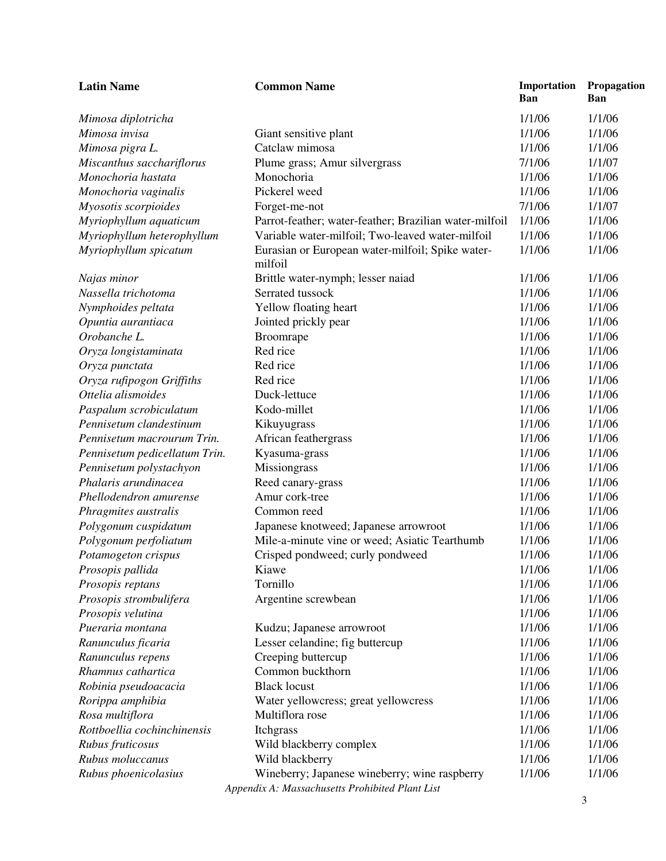| <b>Latin Name</b>             | <b>Common Name</b>                                                                               | Importation<br><b>Ban</b> | Propagation<br><b>Ban</b> |
|-------------------------------|--------------------------------------------------------------------------------------------------|---------------------------|---------------------------|
| Mimosa diplotricha            |                                                                                                  | 1/1/06                    | 1/1/06                    |
| Mimosa invisa                 | Giant sensitive plant                                                                            | 1/1/06                    | 1/1/06                    |
| Mimosa pigra L.               | Catclaw mimosa                                                                                   | 1/1/06                    | 1/1/06                    |
| Miscanthus sacchariflorus     | Plume grass; Amur silvergrass                                                                    | 7/1/06                    | 1/1/07                    |
| Monochoria hastata            | Monochoria                                                                                       | 1/1/06                    | 1/1/06                    |
| Monochoria vaginalis          | Pickerel weed                                                                                    | 1/1/06                    | 1/1/06                    |
| Myosotis scorpioides          | Forget-me-not                                                                                    | 7/1/06                    | 1/1/07                    |
| Myriophyllum aquaticum        | Parrot-feather; water-feather; Brazilian water-milfoil                                           | 1/1/06                    | 1/1/06                    |
| Myriophyllum heterophyllum    | Variable water-milfoil; Two-leaved water-milfoil                                                 | 1/1/06                    | 1/1/06                    |
| Myriophyllum spicatum         | Eurasian or European water-milfoil; Spike water-<br>milfoil                                      | 1/1/06                    | 1/1/06                    |
| Najas minor                   | Brittle water-nymph; lesser naiad                                                                | 1/1/06                    | 1/1/06                    |
| Nassella trichotoma           | Serrated tussock                                                                                 | 1/1/06                    | 1/1/06                    |
| Nymphoides peltata            | Yellow floating heart                                                                            | 1/1/06                    | 1/1/06                    |
| Opuntia aurantiaca            | Jointed prickly pear                                                                             | 1/1/06                    | 1/1/06                    |
| Orobanche L.                  | Broomrape                                                                                        | 1/1/06                    | 1/1/06                    |
| Oryza longistaminata          | Red rice                                                                                         | 1/1/06                    | 1/1/06                    |
| Oryza punctata                | Red rice                                                                                         | 1/1/06                    | 1/1/06                    |
| Oryza rufipogon Griffiths     | Red rice                                                                                         | 1/1/06                    | 1/1/06                    |
| Ottelia alismoides            | Duck-lettuce                                                                                     | 1/1/06                    | 1/1/06                    |
| Paspalum scrobiculatum        | Kodo-millet                                                                                      | 1/1/06                    | 1/1/06                    |
| Pennisetum clandestinum       | Kikuyugrass                                                                                      | 1/1/06                    | 1/1/06                    |
| Pennisetum macrourum Trin.    | African feathergrass                                                                             | 1/1/06                    | 1/1/06                    |
| Pennisetum pedicellatum Trin. | Kyasuma-grass                                                                                    | 1/1/06                    | 1/1/06                    |
| Pennisetum polystachyon       | Missiongrass                                                                                     | 1/1/06                    | 1/1/06                    |
| Phalaris arundinacea          | Reed canary-grass                                                                                | 1/1/06                    | 1/1/06                    |
| Phellodendron amurense        | Amur cork-tree                                                                                   | 1/1/06                    | 1/1/06                    |
| Phragmites australis          | Common reed                                                                                      | 1/1/06                    | 1/1/06                    |
| Polygonum cuspidatum          | Japanese knotweed; Japanese arrowroot                                                            | 1/1/06                    | 1/1/06                    |
| Polygonum perfoliatum         | Mile-a-minute vine or weed; Asiatic Tearthumb                                                    | 1/1/06                    | 1/1/06                    |
| Potamogeton crispus           | Crisped pondweed; curly pondweed                                                                 | 1/1/06                    | 1/1/06                    |
| Prosopis pallida              | Kiawe                                                                                            | 1/1/06                    | 1/1/06                    |
| Prosopis reptans              | Tornillo                                                                                         | 1/1/06                    | 1/1/06                    |
| Prosopis strombulifera        | Argentine screwbean                                                                              | 1/1/06                    | 1/1/06                    |
| Prosopis velutina             |                                                                                                  | 1/1/06                    | 1/1/06                    |
| Pueraria montana              | Kudzu; Japanese arrowroot                                                                        | 1/1/06                    | 1/1/06                    |
| Ranunculus ficaria            | Lesser celandine; fig buttercup                                                                  | 1/1/06                    | 1/1/06                    |
| Ranunculus repens             | Creeping buttercup                                                                               | 1/1/06                    | 1/1/06                    |
| Rhamnus cathartica            | Common buckthorn                                                                                 | 1/1/06                    | 1/1/06                    |
| Robinia pseudoacacia          | <b>Black locust</b>                                                                              | 1/1/06                    | 1/1/06                    |
| Rorippa amphibia              | Water yellowcress; great yellowcress                                                             | 1/1/06                    | 1/1/06                    |
| Rosa multiflora               | Multiflora rose                                                                                  | 1/1/06                    | 1/1/06                    |
| Rottboellia cochinchinensis   | Itchgrass                                                                                        | 1/1/06                    | 1/1/06                    |
| Rubus fruticosus              | Wild blackberry complex                                                                          | 1/1/06                    | 1/1/06                    |
| Rubus moluccanus              | Wild blackberry                                                                                  | 1/1/06                    | 1/1/06                    |
| Rubus phoenicolasius          | Wineberry; Japanese wineberry; wine raspberry<br>Appendix A: Massachusetts Prohibited Plant List | 1/1/06                    | 1/1/06                    |